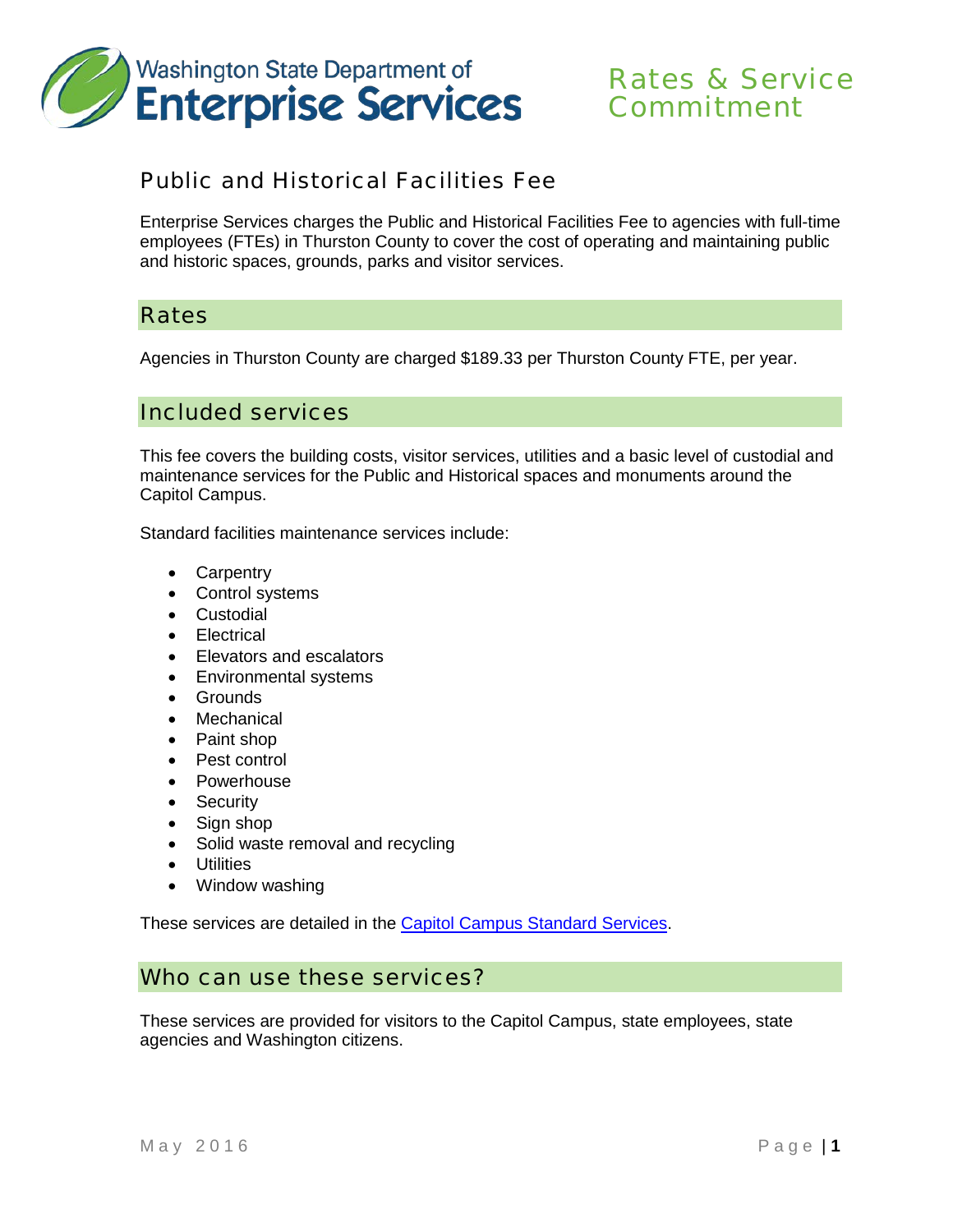

# Rates & Service Commitment

# Public and Historical Facilities Fee

Enterprise Services charges the Public and Historical Facilities Fee to agencies with full-time employees (FTEs) in Thurston County to cover the cost of operating and maintaining public and historic spaces, grounds, parks and visitor services.

#### **Rates**

Agencies in Thurston County are charged \$189.33 per Thurston County FTE, per year.

## Included services

This fee covers the building costs, visitor services, utilities and a basic level of custodial and maintenance services for the Public and Historical spaces and monuments around the Capitol Campus.

Standard facilities maintenance services include:

- Carpentry
- Control systems
- Custodial
- Electrical
- Elevators and escalators
- Environmental systems
- Grounds
- Mechanical
- Paint shop
- Pest control
- Powerhouse
- Security
- Sign shop
- Solid waste removal and recycling
- Utilities
- Window washing

These services are detailed in the [Capitol Campus Standard Services.](http://www.des.wa.gov/SiteCollectionDocuments/Facilities/CapitolCampusStandardServices.pdf)

#### Who can use these services?

These services are provided for visitors to the Capitol Campus, state employees, state agencies and Washington citizens.